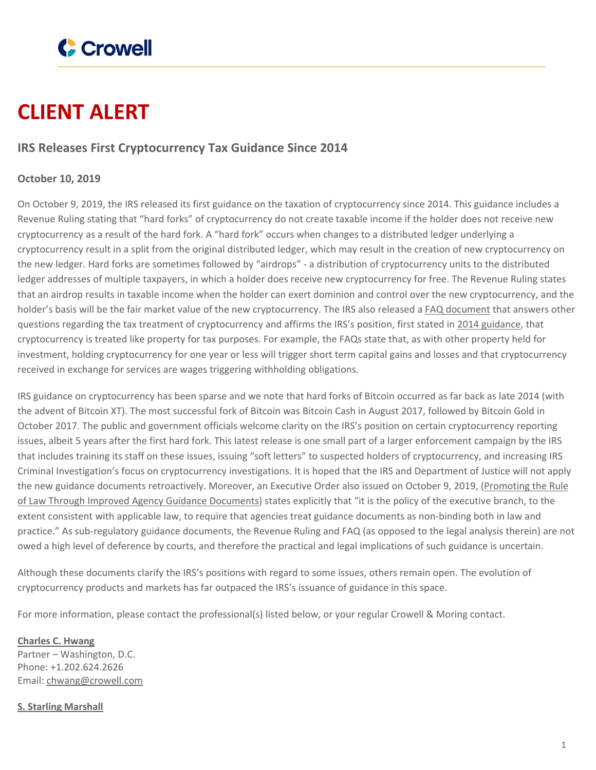

## **CLIENT ALERT**

## **IRS Releases First Cryptocurrency Tax Guidance Since 2014**

## **October 10, 2019**

On October 9, 2019, the IRS released its first guidance on the taxation of cryptocurrency since 2014. This guidance includes a Revenue Ruling stating that "hard forks" of cryptocurrency do not create taxable income if the holder does not receive new cryptocurrency as a result of the hard fork. A "hard fork" occurs when changes to a distributed ledger underlying a cryptocurrency result in a split from the original distributed ledger, which may result in the creation of new cryptocurrency on the new ledger. Hard forks are sometimes followed by "airdrops" - a distribution of cryptocurrency units to the distributed ledger addresses of multiple taxpayers, in which a holder does receive new cryptocurrency for free. The Revenue Ruling states that an airdrop results in taxable income when the holder can exert dominion and control over the new cryptocurrency, and the holder's basis will be the fair market value of the new cryptocurrency. The IRS also released a FAQ [document](https://www.crowell.com/files/Rev-Ruling-2019-24.pdf) that answers other questions regarding the tax treatment of cryptocurrency and affirms the IRS's position, first stated in 2014 [guidance](https://www.irs.gov/individuals/international-taxpayers/frequently-asked-questions-on-virtual-currency-transactions), that cryptocurrency is treated like property for tax purposes. For example, the FAQs state that, as with other property held for investment, holding cryptocurrency for one year or less will trigger short term capital gains and losses and that cryptocurrency received in exchange for services are wages triggering withholding obligations.

IRS guidance on cryptocurrency has been sparse and we note that hard forks of Bitcoin occurred as far back as late 2014 (with the advent of Bitcoin XT). The most successful fork of Bitcoin was Bitcoin Cash in August 2017, followed by Bitcoin Gold in October 2017. The public and government officials welcome clarity on the IRS's position on certain cryptocurrency reporting issues, albeit 5 years after the first hard fork. This latest release is one small part of a larger enforcement campaign by the IRS that includes training its staff on these issues, issuing "soft letters" to suspected holders of cryptocurrency, and increasing IRS Criminal Investigation's focus on cryptocurrency investigations. It is hoped that the IRS and Department of Justice will not apply the new guidance documents retroactively. Moreover, an Executive Order also issued on October 9, 2019, [\(Promoting](https://www.whitehouse.gov/presidential-actions/executive-order-promoting-rule-law-improved-agency-guidance-documents/) the Rule of Law Through Improved Agency Guidance [Documents](https://www.whitehouse.gov/presidential-actions/executive-order-promoting-rule-law-improved-agency-guidance-documents/)) states explicitly that "it is the policy of the executive branch, to the extent consistent with applicable law, to require that agencies treat guidance documents as non-binding both in law and practice." As sub-regulatory guidance documents, the Revenue Ruling and FAQ (as opposed to the legal analysis therein) are not owed a high level of deference by courts, and therefore the practical and legal implications of such guidance is uncertain.

Although these documents clarify the IRS's positions with regard to some issues, others remain open. The evolution of cryptocurrency products and markets has far outpaced the IRS's issuance of guidance in this space.

For more information, please contact the professional(s) listed below, or your regular Crowell & Moring contact.

**[Charles](https://www.crowell.com/professionals/Charles-Hwang) C. Hwang** Partner – Washington, D.C. Phone: +1.202.624.2626 Email: [chwang@crowell.com](mailto:chwang@crowell.com)

## **S. Starling [Marshall](https://www.crowell.com/professionals/S-Starling-Marshall)**